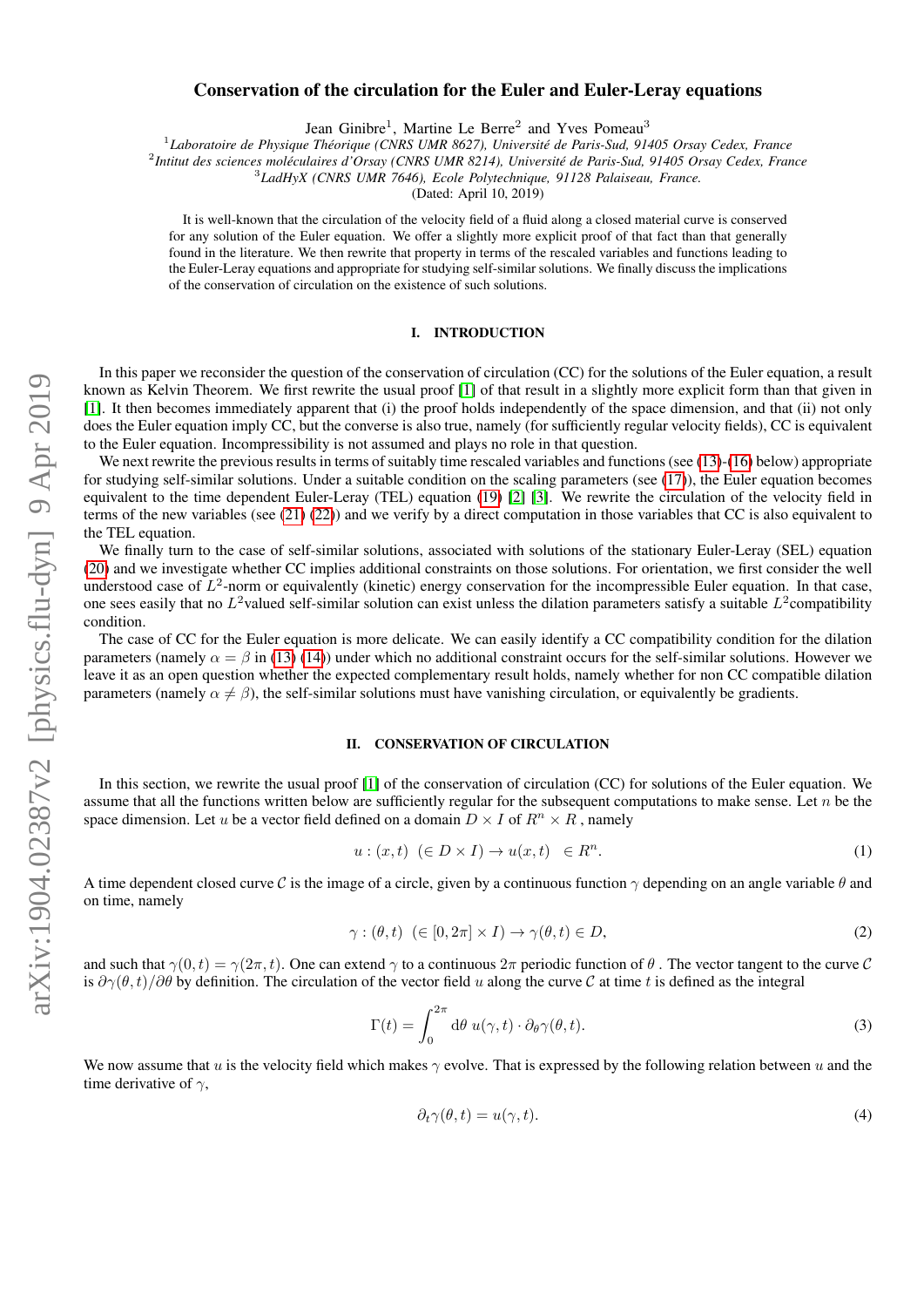# Conservation of the circulation for the Euler and Euler-Leray equations

Jean Ginibre<sup>1</sup>, Martine Le Berre<sup>2</sup> and Yves Pomeau<sup>3</sup>

1 *Laboratoire de Physique Theorique (CNRS UMR 8627), Universit ´ e de Paris-Sud, 91405 Orsay Cedex, France ´*

2 *Intitut des sciences moleculaires d'Orsay (CNRS UMR 8214), Universit ´ e de Paris-Sud, 91405 Orsay Cedex, France ´*

3 *LadHyX (CNRS UMR 7646), Ecole Polytechnique, 91128 Palaiseau, France.*

(Dated: April 10, 2019)

It is well-known that the circulation of the velocity field of a fluid along a closed material curve is conserved for any solution of the Euler equation. We offer a slightly more explicit proof of that fact than that generally found in the literature. We then rewrite that property in terms of the rescaled variables and functions leading to the Euler-Leray equations and appropriate for studying self-similar solutions. We finally discuss the implications of the conservation of circulation on the existence of such solutions.

## I. INTRODUCTION

In this paper we reconsider the question of the conservation of circulation (CC) for the solutions of the Euler equation, a result known as Kelvin Theorem. We first rewrite the usual proof [\[1\]](#page-5-0) of that result in a slightly more explicit form than that given in [\[1\]](#page-5-0). It then becomes immediately apparent that (i) the proof holds independently of the space dimension, and that (ii) not only does the Euler equation imply CC, but the converse is also true, namely (for sufficiently regular velocity fields), CC is equivalent to the Euler equation. Incompressibility is not assumed and plays no role in that question.

We next rewrite the previous results in terms of suitably time rescaled variables and functions (see [\(13\)](#page-2-0)-[\(16\)](#page-2-1) below) appropriate for studying self-similar solutions. Under a suitable condition on the scaling parameters (see [\(17\)](#page-2-2)), the Euler equation becomes equivalent to the time dependent Euler-Leray (TEL) equation [\(19\)](#page-2-3) [\[2\]](#page-5-1) [\[3\]](#page-5-2). We rewrite the circulation of the velocity field in terms of the new variables (see [\(21\)](#page-2-4) [\(22\)](#page-2-5)) and we verify by a direct computation in those variables that CC is also equivalent to the TEL equation.

We finally turn to the case of self-similar solutions, associated with solutions of the stationary Euler-Leray (SEL) equation [\(20\)](#page-2-6) and we investigate whether CC implies additional constraints on those solutions. For orientation, we first consider the well understood case of  $L^2$ -norm or equivalently (kinetic) energy conservation for the incompressible Euler equation. In that case, one sees easily that no  $L^2$ valued self-similar solution can exist unless the dilation parameters satisfy a suitable  $L^2$ compatibility condition.

The case of CC for the Euler equation is more delicate. We can easily identify a CC compatibility condition for the dilation parameters (namely  $\alpha = \beta$  in [\(13\)](#page-2-0) [\(14\)](#page-2-7)) under which no additional constraint occurs for the self-similar solutions. However we leave it as an open question whether the expected complementary result holds, namely whether for non CC compatible dilation parameters (namely  $\alpha \neq \beta$ ), the self-similar solutions must have vanishing circulation, or equivalently be gradients.

#### <span id="page-0-2"></span>II. CONSERVATION OF CIRCULATION

In this section, we rewrite the usual proof [\[1\]](#page-5-0) of the conservation of circulation (CC) for solutions of the Euler equation. We assume that all the functions written below are sufficiently regular for the subsequent computations to make sense. Let  $n$  be the space dimension. Let u be a vector field defined on a domain  $D \times I$  of  $R^n \times R$ , namely

<span id="page-0-1"></span>
$$
u: (x, t) \ (\in D \times I) \to u(x, t) \ \in R^n. \tag{1}
$$

A time dependent closed curve C is the image of a circle, given by a continuous function  $\gamma$  depending on an angle variable  $\theta$  and on time, namely

$$
\gamma : (\theta, t) \ (\in [0, 2\pi] \times I) \to \gamma(\theta, t) \in D,\tag{2}
$$

and such that  $\gamma(0, t) = \gamma(2\pi, t)$ . One can extend  $\gamma$  to a continuous  $2\pi$  periodic function of  $\theta$ . The vector tangent to the curve C is  $\partial \gamma(\theta, t)/\partial \theta$  by definition. The circulation of the vector field u along the curve C at time t is defined as the integral

<span id="page-0-0"></span>
$$
\Gamma(t) = \int_0^{2\pi} d\theta \, u(\gamma, t) \cdot \partial_\theta \gamma(\theta, t). \tag{3}
$$

We now assume that u is the velocity field which makes  $\gamma$  evolve. That is expressed by the following relation between u and the time derivative of  $\gamma$ ,

$$
\partial_t \gamma(\theta, t) = u(\gamma, t). \tag{4}
$$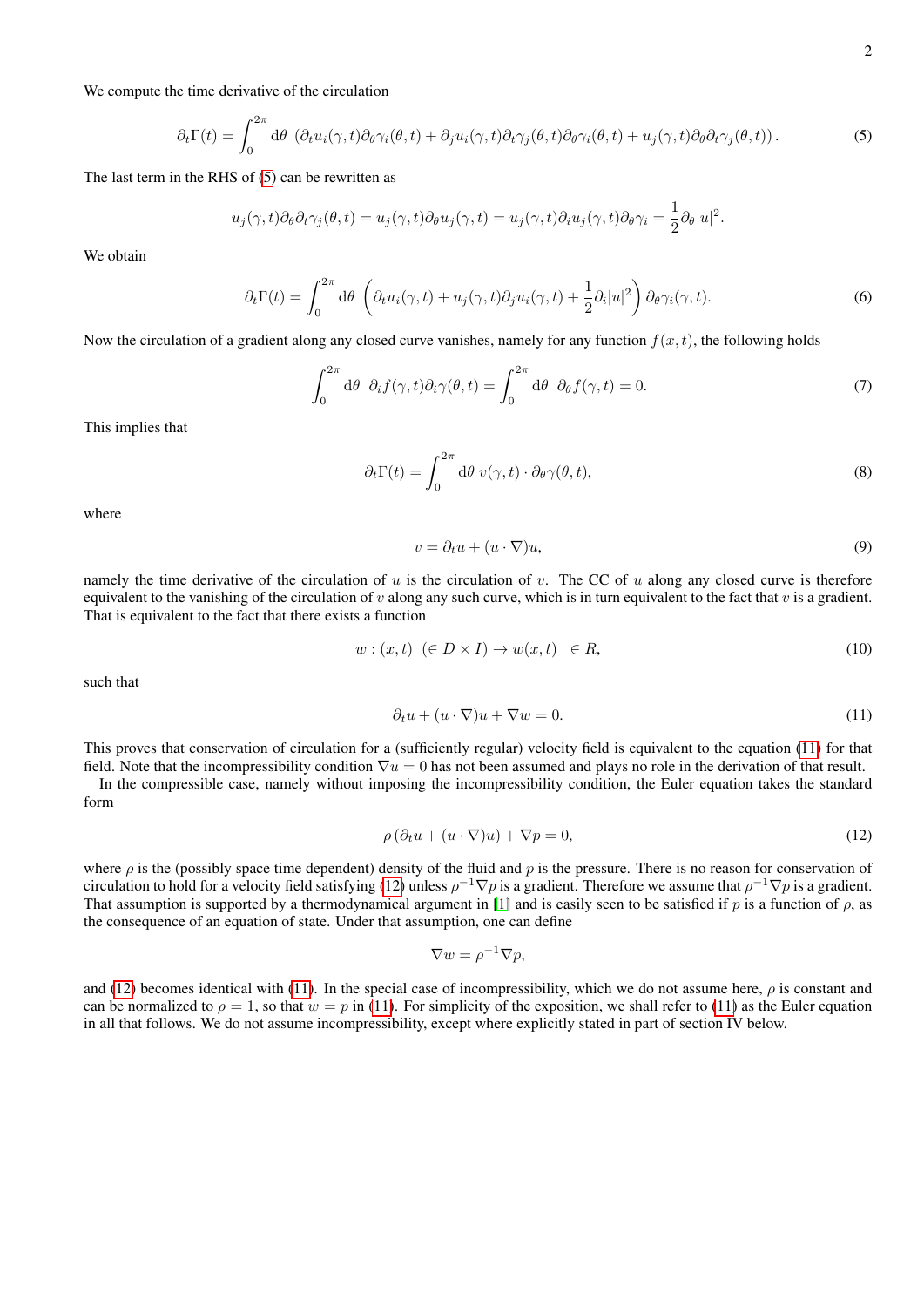We compute the time derivative of the circulation

<span id="page-1-0"></span>
$$
\partial_t \Gamma(t) = \int_0^{2\pi} d\theta \, \left( \partial_t u_i(\gamma, t) \partial_\theta \gamma_i(\theta, t) + \partial_j u_i(\gamma, t) \partial_t \gamma_j(\theta, t) \partial_\theta \gamma_i(\theta, t) + u_j(\gamma, t) \partial_\theta \partial_t \gamma_j(\theta, t) \right). \tag{5}
$$

The last term in the RHS of [\(5\)](#page-1-0) can be rewritten as

$$
u_j(\gamma, t)\partial_\theta\partial_t\gamma_j(\theta, t) = u_j(\gamma, t)\partial_\theta u_j(\gamma, t) = u_j(\gamma, t)\partial_i u_j(\gamma, t)\partial_\theta\gamma_i = \frac{1}{2}\partial_\theta|u|^2.
$$

We obtain

$$
\partial_t \Gamma(t) = \int_0^{2\pi} d\theta \left( \partial_t u_i(\gamma, t) + u_j(\gamma, t) \partial_j u_i(\gamma, t) + \frac{1}{2} \partial_i |u|^2 \right) \partial_\theta \gamma_i(\gamma, t). \tag{6}
$$

Now the circulation of a gradient along any closed curve vanishes, namely for any function  $f(x, t)$ , the following holds

$$
\int_0^{2\pi} d\theta \, \partial_i f(\gamma, t) \partial_i \gamma(\theta, t) = \int_0^{2\pi} d\theta \, \partial_\theta f(\gamma, t) = 0. \tag{7}
$$

This implies that

$$
\partial_t \Gamma(t) = \int_0^{2\pi} d\theta \ v(\gamma, t) \cdot \partial_\theta \gamma(\theta, t), \tag{8}
$$

where

$$
v = \partial_t u + (u \cdot \nabla)u,\tag{9}
$$

namely the time derivative of the circulation of u is the circulation of v. The CC of u along any closed curve is therefore equivalent to the vanishing of the circulation of  $v$  along any such curve, which is in turn equivalent to the fact that  $v$  is a gradient. That is equivalent to the fact that there exists a function

$$
w: (x, t) \ (\in D \times I) \to w(x, t) \ \in R,\tag{10}
$$

such that

<span id="page-1-1"></span>
$$
\partial_t u + (u \cdot \nabla)u + \nabla w = 0. \tag{11}
$$

This proves that conservation of circulation for a (sufficiently regular) velocity field is equivalent to the equation [\(11\)](#page-1-1) for that field. Note that the incompressibility condition  $\nabla u = 0$  has not been assumed and plays no role in the derivation of that result.

In the compressible case, namely without imposing the incompressibility condition, the Euler equation takes the standard form

<span id="page-1-2"></span>
$$
\rho\left(\partial_t u + (u \cdot \nabla)u\right) + \nabla p = 0,\tag{12}
$$

where  $\rho$  is the (possibly space time dependent) density of the fluid and  $p$  is the pressure. There is no reason for conservation of circulation to hold for a velocity field satisfying [\(12\)](#page-1-2) unless  $\rho^{-1}\nabla p$  is a gradient. Therefore we assume that  $\rho^{-1}\nabla p$  is a gradient. That assumption is supported by a thermodynamical argument in [\[1\]](#page-5-0) and is easily seen to be satisfied if p is a function of  $\rho$ , as the consequence of an equation of state. Under that assumption, one can define

$$
\nabla w = \rho^{-1} \nabla p,
$$

and [\(12\)](#page-1-2) becomes identical with [\(11\)](#page-1-1). In the special case of incompressibility, which we do not assume here,  $\rho$  is constant and can be normalized to  $\rho = 1$ , so that  $w = p$  in [\(11\)](#page-1-1). For simplicity of the exposition, we shall refer to (11) as the Euler equation in all that follows. We do not assume incompressibility, except where explicitly stated in part of section IV below.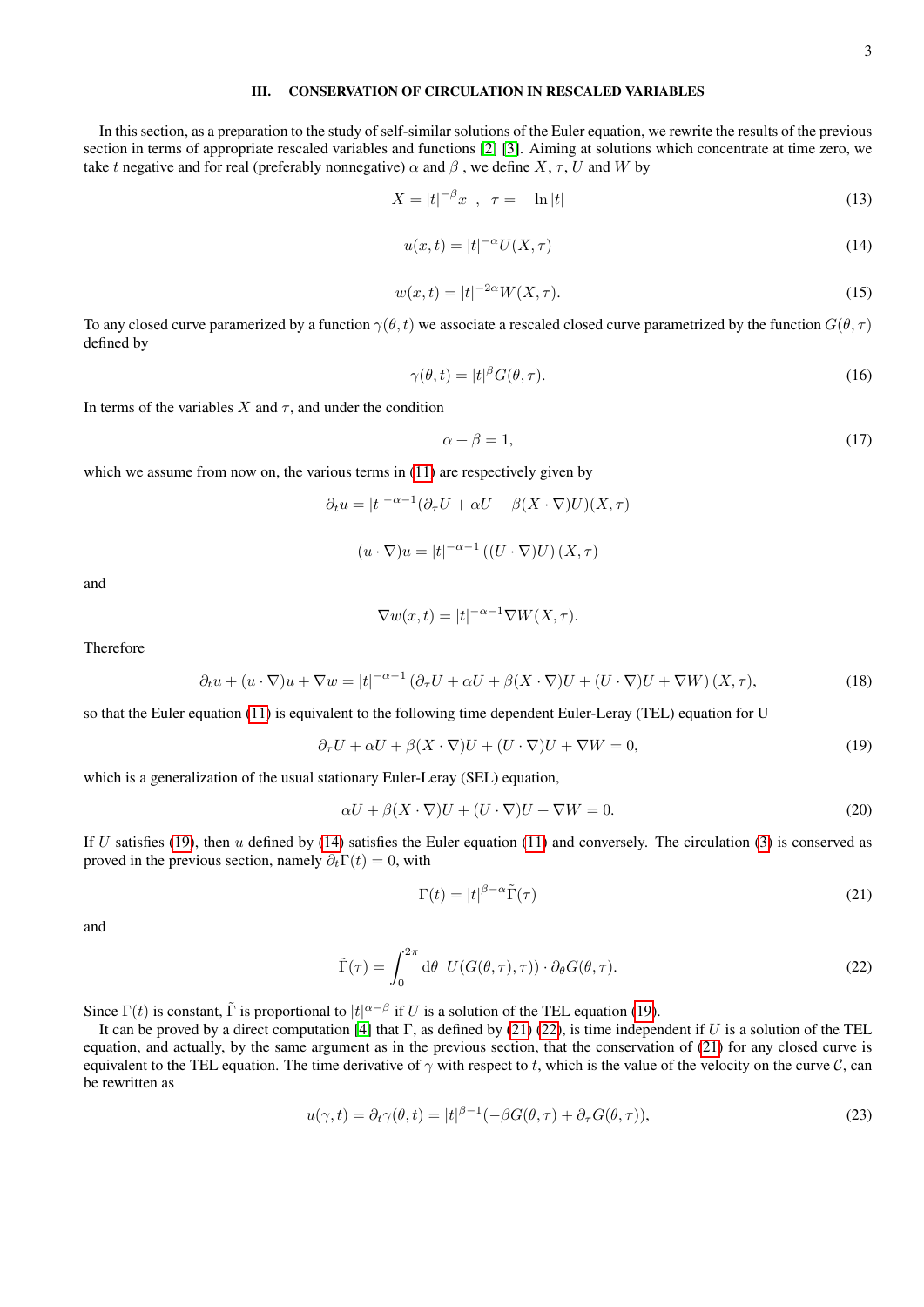#### <span id="page-2-8"></span>III. CONSERVATION OF CIRCULATION IN RESCALED VARIABLES

In this section, as a preparation to the study of self-similar solutions of the Euler equation, we rewrite the results of the previous section in terms of appropriate rescaled variables and functions [\[2\]](#page-5-1) [\[3\]](#page-5-2). Aiming at solutions which concentrate at time zero, we take t negative and for real (preferably nonnegative)  $\alpha$  and  $\beta$ , we define X,  $\tau$ , U and W by

<span id="page-2-0"></span>
$$
X = |t|^{-\beta} x \quad , \quad \tau = -\ln|t| \tag{13}
$$

<span id="page-2-7"></span>
$$
u(x,t) = |t|^{-\alpha} U(X,\tau)
$$
\n(14)

$$
w(x,t) = |t|^{-2\alpha} W(X,\tau).
$$
 (15)

To any closed curve paramerized by a function  $\gamma(\theta, t)$  we associate a rescaled closed curve parametrized by the function  $G(\theta, \tau)$ defined by

<span id="page-2-1"></span>
$$
\gamma(\theta, t) = |t|^{\beta} G(\theta, \tau). \tag{16}
$$

In terms of the variables X and  $\tau$ , and under the condition

<span id="page-2-2"></span>
$$
\alpha + \beta = 1,\tag{17}
$$

which we assume from now on, the various terms in [\(11\)](#page-1-1) are respectively given by

 $\partial_t u = |t|^{-\alpha-1} (\partial_\tau U + \alpha U + \beta (X \cdot \nabla) U)(X, \tau)$ 

 $(u \cdot \nabla)u = |t|^{-\alpha-1} ((U \cdot \nabla)U)(X, \tau)$ 

and

$$
\nabla w(x,t) = |t|^{-\alpha - 1} \nabla W(X,\tau).
$$

Therefore

$$
\partial_t u + (u \cdot \nabla)u + \nabla w = |t|^{-\alpha - 1} \left( \partial_\tau U + \alpha U + \beta (X \cdot \nabla) U + (U \cdot \nabla) U + \nabla W \right)(X, \tau),\tag{18}
$$

so that the Euler equation [\(11\)](#page-1-1) is equivalent to the following time dependent Euler-Leray (TEL) equation for U

<span id="page-2-3"></span>
$$
\partial_{\tau} U + \alpha U + \beta (X \cdot \nabla) U + (U \cdot \nabla) U + \nabla W = 0,\tag{19}
$$

which is a generalization of the usual stationary Euler-Leray (SEL) equation,

<span id="page-2-6"></span>
$$
\alpha U + \beta (X \cdot \nabla) U + (U \cdot \nabla) U + \nabla W = 0.
$$
\n(20)

If U satisfies [\(19\)](#page-2-3), then u defined by [\(14\)](#page-2-7) satisfies the Euler equation [\(11\)](#page-1-1) and conversely. The circulation [\(3\)](#page-0-0) is conserved as proved in the previous section, namely  $\partial_t \Gamma(t) = 0$ , with

<span id="page-2-4"></span>
$$
\Gamma(t) = |t|^{\beta - \alpha} \tilde{\Gamma}(\tau) \tag{21}
$$

and

<span id="page-2-5"></span>
$$
\tilde{\Gamma}(\tau) = \int_0^{2\pi} d\theta \ U(G(\theta, \tau), \tau)) \cdot \partial_{\theta} G(\theta, \tau). \tag{22}
$$

Since  $\Gamma(t)$  is constant,  $\tilde{\Gamma}$  is proportional to  $|t|^{\alpha-\beta}$  if U is a solution of the TEL equation [\(19\)](#page-2-3).

It can be proved by a direct computation [\[4\]](#page-5-3) that  $\Gamma$ , as defined by [\(21\)](#page-2-4) [\(22\)](#page-2-5), is time independent if U is a solution of the TEL equation, and actually, by the same argument as in the previous section, that the conservation of [\(21\)](#page-2-4) for any closed curve is equivalent to the TEL equation. The time derivative of  $\gamma$  with respect to t, which is the value of the velocity on the curve C, can be rewritten as

$$
u(\gamma, t) = \partial_t \gamma(\theta, t) = |t|^{\beta - 1} \left( -\beta G(\theta, \tau) + \partial_\tau G(\theta, \tau) \right),\tag{23}
$$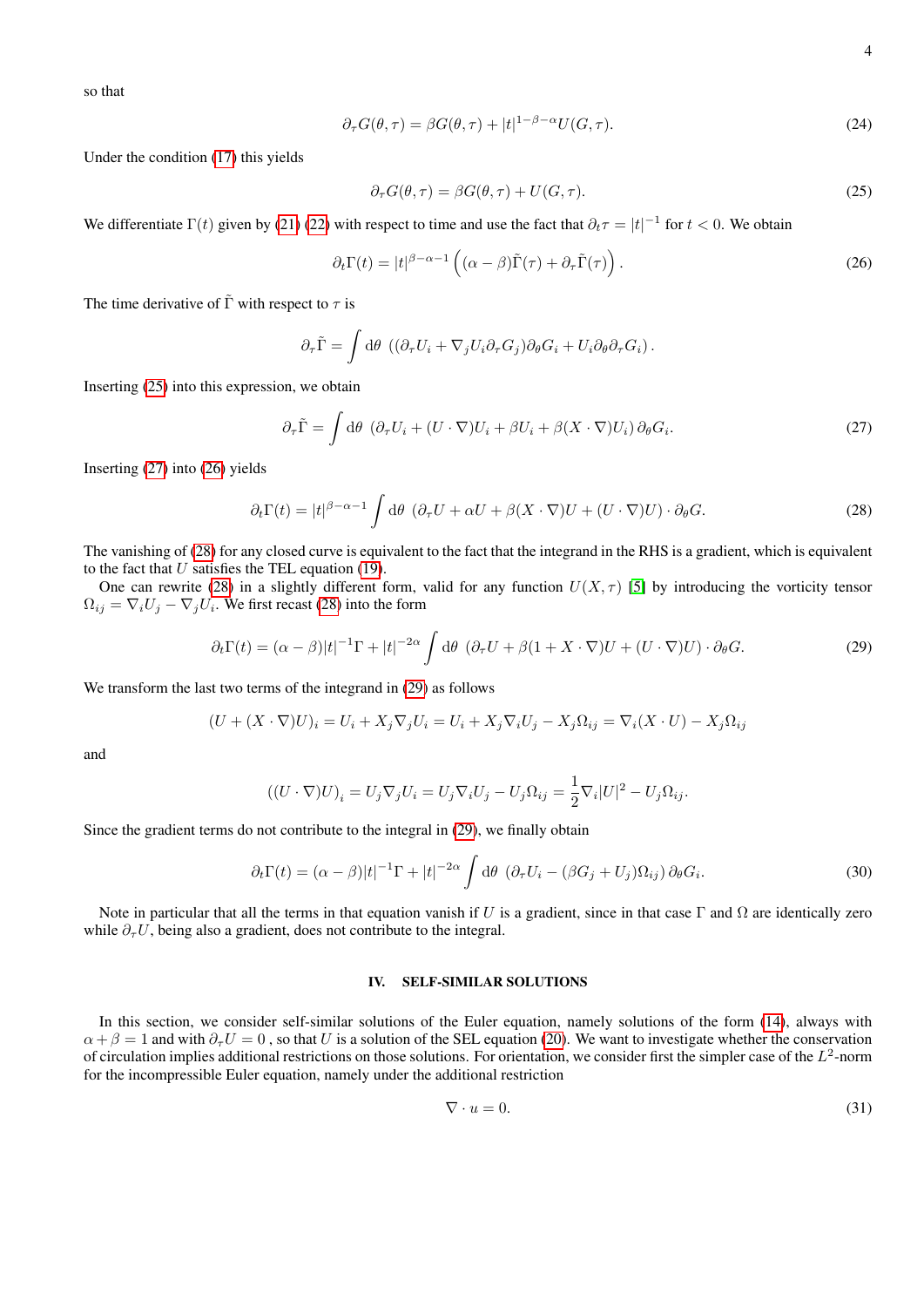so that

$$
\partial_{\tau}G(\theta,\tau) = \beta G(\theta,\tau) + |t|^{1-\beta-\alpha} U(G,\tau). \tag{24}
$$

Under the condition [\(17\)](#page-2-2) this yields

<span id="page-3-0"></span>
$$
\partial_{\tau} G(\theta, \tau) = \beta G(\theta, \tau) + U(G, \tau). \tag{25}
$$

We differentiate  $\Gamma(t)$  given by [\(21\)](#page-2-4) [\(22\)](#page-2-5) with respect to time and use the fact that  $\partial_t \tau = |t|^{-1}$  for  $t < 0$ . We obtain

<span id="page-3-2"></span>
$$
\partial_t \Gamma(t) = |t|^{\beta - \alpha - 1} \left( (\alpha - \beta) \tilde{\Gamma}(\tau) + \partial_\tau \tilde{\Gamma}(\tau) \right). \tag{26}
$$

The time derivative of  $\tilde{\Gamma}$  with respect to  $\tau$  is

$$
\partial_{\tau}\tilde{\Gamma} = \int d\theta \, \left( (\partial_{\tau}U_i + \nabla_j U_i \partial_{\tau} G_j) \partial_{\theta} G_i + U_i \partial_{\theta} \partial_{\tau} G_i \right).
$$

Inserting [\(25\)](#page-3-0) into this expression, we obtain

<span id="page-3-1"></span>
$$
\partial_{\tau}\tilde{\Gamma} = \int d\theta \, \left(\partial_{\tau}U_i + (U \cdot \nabla)U_i + \beta U_i + \beta (X \cdot \nabla)U_i\right) \partial_{\theta}G_i. \tag{27}
$$

Inserting [\(27\)](#page-3-1) into [\(26\)](#page-3-2) yields

<span id="page-3-3"></span>
$$
\partial_t \Gamma(t) = |t|^{\beta - \alpha - 1} \int d\theta \, (\partial_\tau U + \alpha U + \beta (X \cdot \nabla) U + (U \cdot \nabla) U) \cdot \partial_\theta G. \tag{28}
$$

The vanishing of [\(28\)](#page-3-3) for any closed curve is equivalent to the fact that the integrand in the RHS is a gradient, which is equivalent to the fact that  $U$  satisfies the TEL equation [\(19\)](#page-2-3).

One can rewrite [\(28\)](#page-3-3) in a slightly different form, valid for any function  $U(X, \tau)$  [\[5\]](#page-5-4) by introducing the vorticity tensor  $\Omega_{ij} = \nabla_i U_j - \nabla_j U_i$ . We first recast [\(28\)](#page-3-3) into the form

<span id="page-3-4"></span>
$$
\partial_t \Gamma(t) = (\alpha - \beta)|t|^{-1} \Gamma + |t|^{-2\alpha} \int d\theta \, (\partial_\tau U + \beta (1 + X \cdot \nabla)U + (U \cdot \nabla)U) \cdot \partial_\theta G. \tag{29}
$$

We transform the last two terms of the integrand in [\(29\)](#page-3-4) as follows

$$
(U + (X \cdot \nabla)U)_i = U_i + X_j \nabla_j U_i = U_i + X_j \nabla_i U_j - X_j \Omega_{ij} = \nabla_i (X \cdot U) - X_j \Omega_{ij}
$$

and

$$
((U \cdot \nabla)U)_i = U_j \nabla_j U_i = U_j \nabla_i U_j - U_j \Omega_{ij} = \frac{1}{2} \nabla_i |U|^2 - U_j \Omega_{ij}.
$$

Since the gradient terms do not contribute to the integral in [\(29\)](#page-3-4), we finally obtain

<span id="page-3-5"></span>
$$
\partial_t \Gamma(t) = (\alpha - \beta)|t|^{-1} \Gamma + |t|^{-2\alpha} \int d\theta \, \left(\partial_\tau U_i - (\beta G_j + U_j)\Omega_{ij}\right) \partial_\theta G_i. \tag{30}
$$

Note in particular that all the terms in that equation vanish if U is a gradient, since in that case  $\Gamma$  and  $\Omega$  are identically zero while  $\partial_{\tau}U$ , being also a gradient, does not contribute to the integral.

### IV. SELF-SIMILAR SOLUTIONS

In this section, we consider self-similar solutions of the Euler equation, namely solutions of the form [\(14\)](#page-2-7), always with  $\alpha + \beta = 1$  and with  $\partial_{\tau} U = 0$ , so that U is a solution of the SEL equation [\(20\)](#page-2-6). We want to investigate whether the conservation of circulation implies additional restrictions on those solutions. For orientation, we consider first the simpler case of the  $L^2$ -norm for the incompressible Euler equation, namely under the additional restriction

$$
\nabla \cdot u = 0. \tag{31}
$$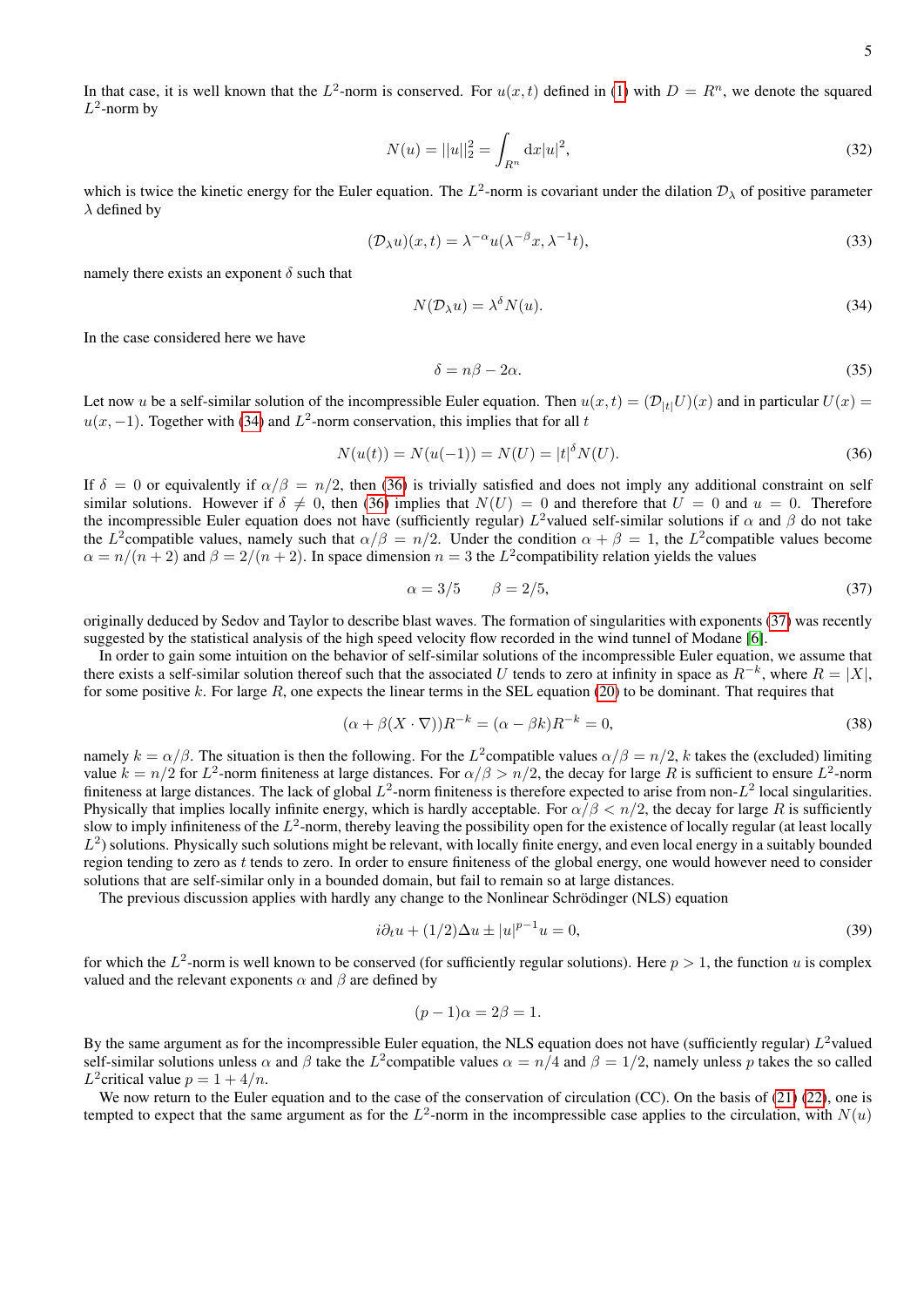In that case, it is well known that the  $L^2$ -norm is conserved. For  $u(x,t)$  defined in [\(1\)](#page-0-1) with  $D = R^n$ , we denote the squared  $L^2$ -norm by

$$
N(u) = ||u||_2^2 = \int_{R^n} dx |u|^2,
$$
\n(32)

which is twice the kinetic energy for the Euler equation. The  $L^2$ -norm is covariant under the dilation  $\mathcal{D}_\lambda$  of positive parameter  $\lambda$  defined by

$$
(\mathcal{D}_{\lambda}u)(x,t) = \lambda^{-\alpha}u(\lambda^{-\beta}x, \lambda^{-1}t),
$$
\n(33)

namely there exists an exponent  $\delta$  such that

<span id="page-4-0"></span>
$$
N(\mathcal{D}_{\lambda}u) = \lambda^{\delta} N(u). \tag{34}
$$

In the case considered here we have

$$
\delta = n\beta - 2\alpha. \tag{35}
$$

Let now u be a self-similar solution of the incompressible Euler equation. Then  $u(x,t) = (\mathcal{D}_{H}U)(x)$  and in particular  $U(x)$  $u(x, -1)$ . Together with [\(34\)](#page-4-0) and  $L^2$ -norm conservation, this implies that for all t

<span id="page-4-1"></span>
$$
N(u(t)) = N(u(-1)) = N(U) = |t|^{\delta} N(U).
$$
\n(36)

If  $\delta = 0$  or equivalently if  $\alpha/\beta = n/2$ , then [\(36\)](#page-4-1) is trivially satisfied and does not imply any additional constraint on self similar solutions. However if  $\delta \neq 0$ , then [\(36\)](#page-4-1) implies that  $N(U) = 0$  and therefore that  $U = 0$  and  $u = 0$ . Therefore the incompressible Euler equation does not have (sufficiently regular)  $L^2$ valued self-similar solutions if  $\alpha$  and  $\beta$  do not take the L<sup>2</sup>compatible values, namely such that  $\alpha/\beta = n/2$ . Under the condition  $\alpha + \beta = 1$ , the L<sup>2</sup>compatible values become  $\alpha = n/(n+2)$  and  $\beta = 2/(n+2)$ . In space dimension  $n = 3$  the L<sup>2</sup> compatibility relation yields the values

<span id="page-4-2"></span>
$$
\alpha = 3/5 \qquad \beta = 2/5,\tag{37}
$$

originally deduced by Sedov and Taylor to describe blast waves. The formation of singularities with exponents [\(37\)](#page-4-2) was recently suggested by the statistical analysis of the high speed velocity flow recorded in the wind tunnel of Modane [\[6\]](#page-5-5).

In order to gain some intuition on the behavior of self-similar solutions of the incompressible Euler equation, we assume that there exists a self-similar solution thereof such that the associated U tends to zero at infinity in space as  $R^{-k}$ , where  $R = |X|$ , for some positive k. For large R, one expects the linear terms in the SEL equation [\(20\)](#page-2-6) to be dominant. That requires that

$$
(\alpha + \beta(X \cdot \nabla))R^{-k} = (\alpha - \beta k)R^{-k} = 0,
$$
\n(38)

namely  $k = \alpha/\beta$ . The situation is then the following. For the L<sup>2</sup>compatible values  $\alpha/\beta = n/2$ , k takes the (excluded) limiting value  $k = n/2$  for  $L^2$ -norm finiteness at large distances. For  $\alpha/\beta > n/2$ , the decay for large R is sufficient to ensure  $L^2$ -norm finiteness at large distances. The lack of global  $L^2$ -norm finiteness is therefore expected to arise from non- $L^2$  local singularities. Physically that implies locally infinite energy, which is hardly acceptable. For  $\alpha/\beta < n/2$ , the decay for large R is sufficiently slow to imply infiniteness of the  $L^2$ -norm, thereby leaving the possibility open for the existence of locally regular (at least locally  $L<sup>2</sup>$ ) solutions. Physically such solutions might be relevant, with locally finite energy, and even local energy in a suitably bounded region tending to zero as t tends to zero. In order to ensure finiteness of the global energy, one would however need to consider solutions that are self-similar only in a bounded domain, but fail to remain so at large distances.

The previous discussion applies with hardly any change to the Nonlinear Schrödinger (NLS) equation

$$
i\partial_t u + (1/2)\Delta u \pm |u|^{p-1}u = 0,\t\t(39)
$$

for which the  $L^2$ -norm is well known to be conserved (for sufficiently regular solutions). Here  $p > 1$ , the function u is complex valued and the relevant exponents  $\alpha$  and  $\beta$  are defined by

$$
(p-1)\alpha = 2\beta = 1.
$$

By the same argument as for the incompressible Euler equation, the NLS equation does not have (sufficiently regular)  $L^2$ valued self-similar solutions unless  $\alpha$  and  $\beta$  take the L<sup>2</sup>compatible values  $\alpha = n/4$  and  $\beta = 1/2$ , namely unless p takes the so called  $L^2$ critical value  $p = 1 + 4/n$ .

We now return to the Euler equation and to the case of the conservation of circulation (CC). On the basis of [\(21\)](#page-2-4) [\(22\)](#page-2-5), one is tempted to expect that the same argument as for the  $L^2$ -norm in the incompressible case applies to the circulation, with  $N(u)$